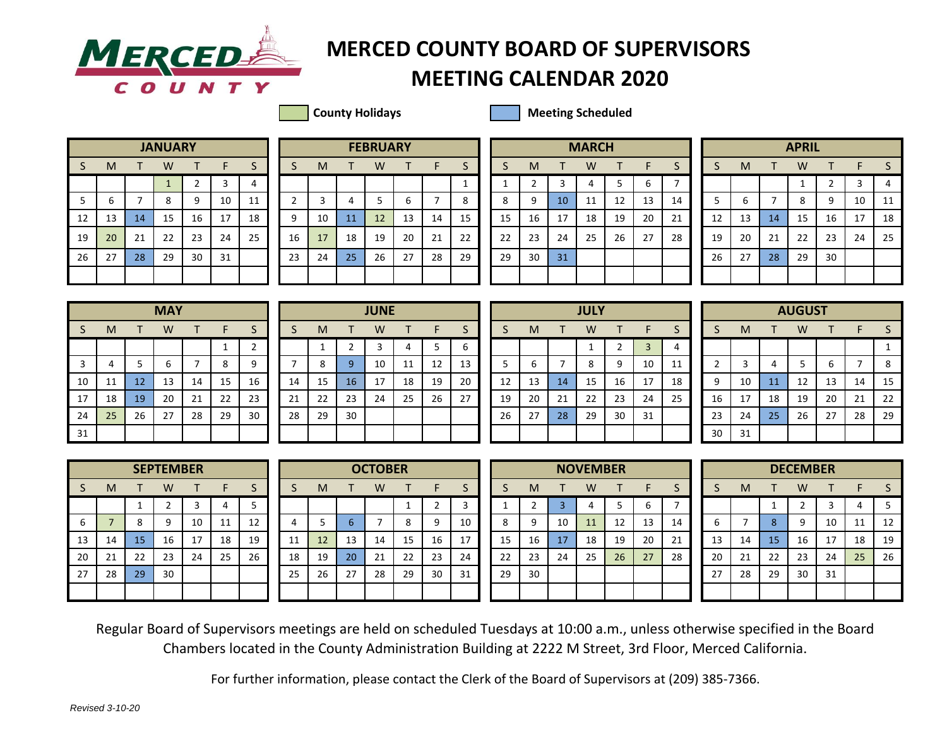

## **MERCEDER** MERCED COUNTY BOARD OF SUPERVISORS

## **MEETING CALENDAR 2020**

**County Holidays County Holidays Meeting Scheduled** 

|    |    |    | <b>JANUARY</b> |                |    |    |
|----|----|----|----------------|----------------|----|----|
| S  | M  | т  | W              | т              | F  | S  |
|    |    |    | $\mathbf{1}$   | $\overline{2}$ | 3  | 4  |
| 5  | 6  | 7  | 8              | 9              | 10 | 11 |
| 12 | 13 | 14 | 15             | 16             | 17 | 18 |
| 19 | 20 | 21 | 22             | 23             | 24 | 25 |
| 26 | 27 | 28 | 29             | 30             | 31 |    |
|    |    |    |                |                |    |    |

|                |    |    | <b>JANUARY</b> |    |    |    |    |    |    | <b>FEBRUARY</b> |    |    |         |    |    |                 | <b>MARCH</b> |    |    |    |    |    |    | <b>APRIL</b> |    |    |    |
|----------------|----|----|----------------|----|----|----|----|----|----|-----------------|----|----|---------|----|----|-----------------|--------------|----|----|----|----|----|----|--------------|----|----|----|
| S.             | M  |    | W              |    |    |    |    | M  |    | W               |    |    | ت       |    | M  |                 | W            |    |    |    |    | м  |    | W            |    |    |    |
|                |    |    |                |    |    | 4  |    |    |    |                 |    |    |         |    |    |                 |              |    | ь  |    |    |    |    |              |    |    | 4  |
| 5 <sup>1</sup> | ь  |    | 8              |    | 10 | 11 |    |    |    |                 | ь  |    | $\circ$ | 8  | q  | 10 <sup>1</sup> | 11           | 12 | 13 | 14 |    | ь  |    | 8            | 9  | 10 | 11 |
| 12             | 13 | 14 | 15             | 16 | 17 | 18 | ٩  | 10 | 11 | 12              | 13 | 14 | 15      | 15 | 16 | 17              | 18           | 19 | 20 | 21 | 12 | 13 | 14 | 15           | 16 | 17 | 18 |
| 19             | 20 | 21 | 22             | 23 | 24 | 25 | 16 | 17 | 18 | 19              | 20 | 21 | 22      | 22 | 23 | 24              | 25           | 26 | 27 | 28 | 19 | 20 | 21 | 22           | 23 | 24 | 25 |
| 26             | 27 | 28 | 29             | 30 | 31 |    | 23 | 24 | 25 | 26              | 27 | 28 | 29      | 29 | 30 | 31              |              |    |    |    | 26 | 27 | 28 | 29           | 30 |    |    |
|                |    |    |                |    |    |    |    |    |    |                 |    |    |         |    |    |                 |              |    |    |    |    |    |    |              |    |    |    |

|             |                |    | <b>MARCH</b>   |    |    |    |
|-------------|----------------|----|----------------|----|----|----|
| S           | M              | т  | W              | т  | F  | S  |
| $\mathbf 1$ | $\overline{2}$ | 3  | $\overline{4}$ | 5  | 6  | 7  |
| 8           | 9              | 10 | 11             | 12 | 13 | 14 |
| 15          | 16             | 17 | 18             | 19 | 20 | 21 |
| 22          | 23             | 24 | 25             | 26 | 27 | 28 |
| 29          | 30             | 31 |                |    |    |    |
|             |                |    |                |    |    |    |
|             |                |    |                |    |    |    |

|              |    |    | <b>APRIL</b> |                |    |    |
|--------------|----|----|--------------|----------------|----|----|
| <sub>S</sub> | M  | т  | W            | т              | F  | S  |
|              |    |    | 1            | $\overline{2}$ | 3  | 4  |
| 5            | 6  | 7  | 8            | 9              | 10 | 11 |
| 12           | 13 | 14 | 15           | 16             | 17 | 18 |
| 19           | 20 | 21 | 22           | 23             | 24 | 25 |
| 26           | 27 | 28 | 29           | 30             |    |    |
|              |    |    |              |                |    |    |

|    | <b>MAY</b><br>S<br>M<br>W<br>F<br>т<br>т<br>1<br>5<br>3<br>6<br>8<br>4<br>7<br>15<br>12<br>10<br>11<br>13<br>14<br>19<br>20<br>22<br>17<br>18<br>21 |    |    |    |    |                |  |  |  |  |  |  |  |  |
|----|-----------------------------------------------------------------------------------------------------------------------------------------------------|----|----|----|----|----------------|--|--|--|--|--|--|--|--|
|    |                                                                                                                                                     |    |    |    |    | S              |  |  |  |  |  |  |  |  |
|    |                                                                                                                                                     |    |    |    |    | $\overline{2}$ |  |  |  |  |  |  |  |  |
|    |                                                                                                                                                     |    |    |    |    | 9              |  |  |  |  |  |  |  |  |
|    |                                                                                                                                                     |    |    |    |    | 16             |  |  |  |  |  |  |  |  |
|    |                                                                                                                                                     |    |    |    |    | 23             |  |  |  |  |  |  |  |  |
| 24 | 25                                                                                                                                                  | 26 | 27 | 28 | 29 | 30             |  |  |  |  |  |  |  |  |
| 31 |                                                                                                                                                     |    |    |    |    |                |  |  |  |  |  |  |  |  |

|              |          |    | <b>MAY</b> |    |    |    |    |    |    |    | <b>JUNE</b>    |    |    |    |    |    |    | <b>JULY</b> |    |    |    |    |    |    | <b>AUGUST</b> |    |    |    |
|--------------|----------|----|------------|----|----|----|----|----|----|----|----------------|----|----|----|----|----|----|-------------|----|----|----|----|----|----|---------------|----|----|----|
| S.           | M        |    | W          |    | F. | S  |    | M  |    |    | W              |    | F. |    |    | M  |    | W           |    | н. |    |    | M  |    | W             |    |    |    |
|              |          |    |            |    |    |    |    |    |    |    |                | 4  |    | b  |    |    |    |             |    | 3  |    |    |    |    |               |    |    |    |
| $\mathbf{3}$ |          |    | b          |    | 8  | 9  |    | 8  |    | 9. | 10             | 11 | 12 | 13 |    | b  |    | 8           | q  | 10 | 11 |    |    |    |               | b  |    | -8 |
| 10           | 11<br>ᆠᆂ | 12 | 13         | 14 | 15 | 16 | 14 | 15 |    | 16 | 17<br><b>L</b> | 18 | 19 | 20 | 12 | 13 | 14 | 15          | 16 | 17 | 18 | 9  | 10 | 11 | 12            | 13 | 14 | 15 |
| 17           | 18       | 19 | 20         | 21 | 22 | 23 | 21 | 22 |    | 23 | 24             | 25 | 26 | 27 | 19 | 20 | 21 | 22          | 23 | 24 | 25 | 16 | 17 | 18 | 19            | 20 | 21 | 22 |
| 24           | 25       | 26 | 27         | 28 | 29 | 30 | 28 |    | 29 | 30 |                |    |    |    | 26 | 27 | 28 | 29          | 30 | 31 |    | 23 | 24 | 25 | 26            | 27 | 28 | 29 |
| 31           |          |    |            |    |    |    |    |    |    |    |                |    |    |    |    |    |    |             |    |    |    | 30 | 31 |    |               |    |    |    |

|    |    |    | <b>JULY</b> |                |                |    |
|----|----|----|-------------|----------------|----------------|----|
| S  | M  | т  | W           | т              | F              | S  |
|    |    |    | $\mathbf 1$ | $\overline{2}$ | $\overline{3}$ | 4  |
| 5  | 6  | 7  | 8           | 9              | 10             | 11 |
| 12 | 13 | 14 | 15          | 16             | 17             | 18 |
| 19 | 20 | 21 | 22          | 23             | 24             | 25 |
| 26 | 27 | 28 | 29          | 30             | 31             |    |
|    |    |    |             |                |                |    |

|                |    |    | <b>AUGUST</b> |              |    |    |
|----------------|----|----|---------------|--------------|----|----|
| S              | M  | т  | W             | $\mathsf{T}$ | F  | S  |
|                |    |    |               |              |    | 1  |
| $\overline{2}$ | 3  | 4  | 5             | 6            | 7  | 8  |
| 9              | 10 | 11 | 12            | 13           | 14 | 15 |
| 16             | 17 | 18 | 19            | 20           | 21 | 22 |
| 23             | 24 | 25 | 26            | 27           | 28 | 29 |
| 30             | 31 |    |               |              |    |    |

|    |                |    | <b>SEPTEMBER</b> |    |    |    |
|----|----------------|----|------------------|----|----|----|
| S  | M              | т  | W                | т  | F  | S  |
|    |                | 1  | $\overline{2}$   | 3  | 4  | 5  |
| 6  | $\overline{7}$ | 8  | 9                | 10 | 11 | 12 |
| 13 | 14             | 15 | 16               | 17 | 18 | 19 |
| 20 | 21             | 22 | 23               | 24 | 25 | 26 |
| 27 | 28             | 29 | 30               |    |    |    |
|    |                |    |                  |    |    |    |

|    |    |    | <b>SEPTEMBER</b> |    |    |    |    |    |    | <b>OCTOBER</b> |    |    |    |    |    |    | <b>NOVEMBER</b> |    |    |    |    |    |    | <b>DECEMBER</b> |    |    |    |
|----|----|----|------------------|----|----|----|----|----|----|----------------|----|----|----|----|----|----|-----------------|----|----|----|----|----|----|-----------------|----|----|----|
| S. | M  |    | W                |    |    |    |    | M  |    | W              |    |    | د  |    | M  |    | W               |    |    |    |    | м  |    | W               |    |    |    |
|    |    |    |                  |    |    |    |    |    |    |                |    |    |    |    |    |    |                 |    | b  |    |    |    |    |                 |    |    |    |
| 6  |    | 8  | 9                | 10 | 11 | 12 |    |    |    |                | 8  |    | 10 | 8  | a  | 10 | 11              | 12 | 13 | 14 | b  |    |    | 9               | 10 | 11 | 12 |
| 13 | 14 | 15 | 16               |    | 18 | 19 | 11 | 12 | 13 | 14             | 15 | 16 | 17 | 15 | 16 | 17 | 18              | 19 | 20 | 21 | 13 | 14 | 15 | 16              | 17 | 18 | 19 |
| 20 | 21 | 22 | 23               | 24 | 25 | 26 | 18 | 19 | 20 | 21             | 22 | 23 | 24 | 22 | 23 | 24 | 25              | 26 | 27 | 28 | 20 | 21 | 22 | 23              | 24 | 25 | 26 |
| 27 | 28 | 29 | 30               |    |    |    | 25 | 26 | 27 | 28             | 29 | 30 | 31 | 29 | 30 |    |                 |    |    |    | 27 | 28 | 29 | 30              | 31 |    |    |
|    |    |    |                  |    |    |    |    |    |    |                |    |    |    |    |    |    |                 |    |    |    |    |    |    |                 |    |    |    |

|             |    |    | <b>NOVEMBER</b> |    |    |    |
|-------------|----|----|-----------------|----|----|----|
| S           | M  | т  | W               | т  | F  | S  |
| $\mathbf 1$ | 2  | 3  | 4               | 5  | 6  | 7  |
| 8           | 9  | 10 | 11              | 12 | 13 | 14 |
| 15          | 16 | 17 | 18              | 19 | 20 | 21 |
| 22          | 23 | 24 | 25              | 26 | 27 | 28 |
| 29          | 30 |    |                 |    |    |    |
|             |    |    |                 |    |    |    |

|    |    |    | <b>DECEMBER</b> |    |    |    |
|----|----|----|-----------------|----|----|----|
| S  | M  |    | W               | T  | F  | S  |
|    |    | 1  | $\overline{2}$  | 3  | 4  | 5  |
| 6  | 7  | 8  | 9               | 10 | 11 | 12 |
| 13 | 14 | 15 | 16              | 17 | 18 | 19 |
| 20 | 21 | 22 | 23              | 24 | 25 | 26 |
| 27 | 28 | 29 | 30              | 31 |    |    |
|    |    |    |                 |    |    |    |

Regular Board of Supervisors meetings are held on scheduled Tuesdays at 10:00 a.m., unless otherwise specified in the Board Chambers located in the County Administration Building at 2222 M Street, 3rd Floor, Merced California.

For further information, please contact the Clerk of the Board of Supervisors at (209) 385-7366.